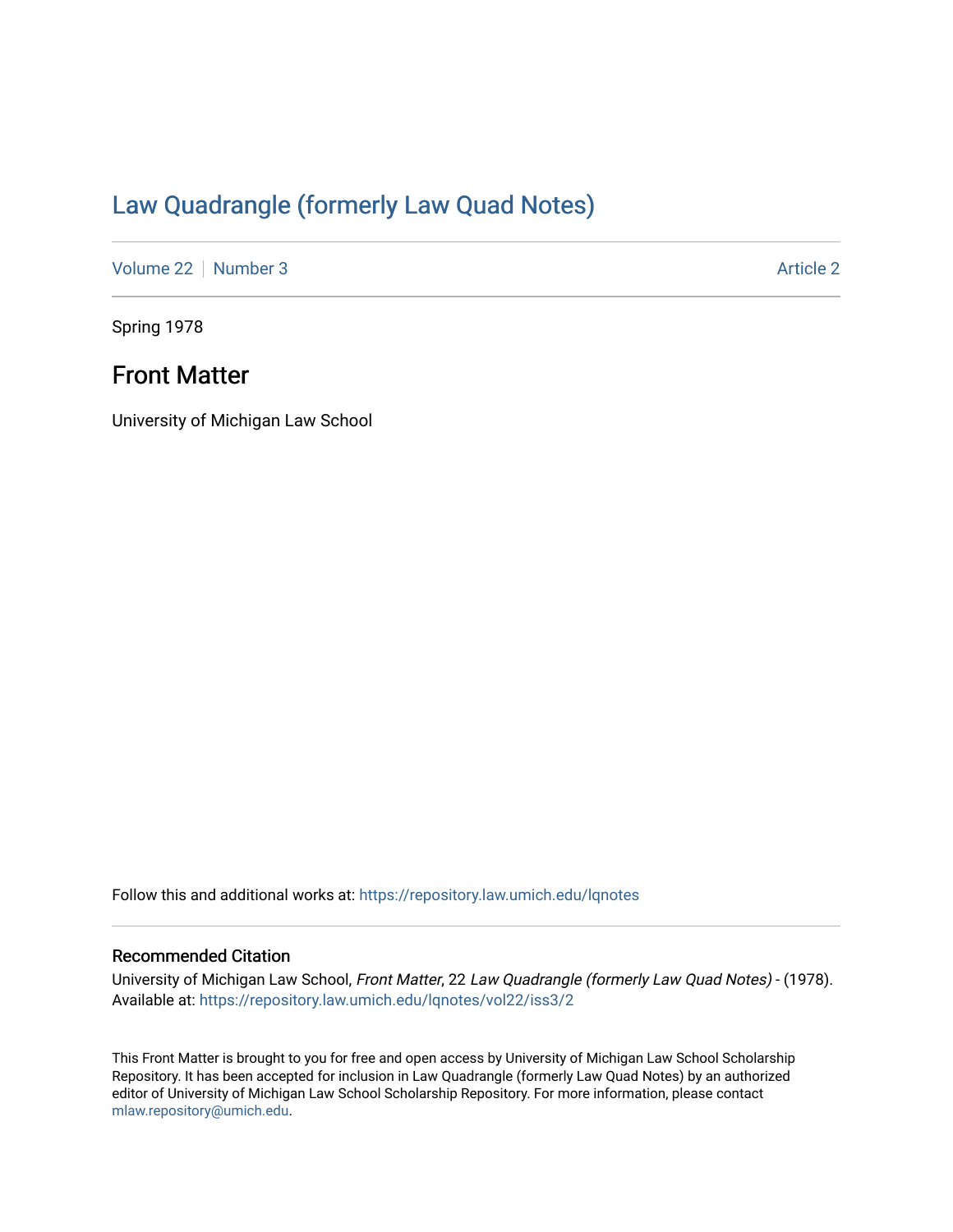# [Law Quadrangle \(formerly Law Quad Notes\)](https://repository.law.umich.edu/lqnotes)

[Volume 22](https://repository.law.umich.edu/lqnotes/vol22) [Number 3](https://repository.law.umich.edu/lqnotes/vol22/iss3) [Article 2](https://repository.law.umich.edu/lqnotes/vol22/iss3/2) Article 2

Spring 1978

## Front Matter

University of Michigan Law School

Follow this and additional works at: [https://repository.law.umich.edu/lqnotes](https://repository.law.umich.edu/lqnotes?utm_source=repository.law.umich.edu%2Flqnotes%2Fvol22%2Fiss3%2F2&utm_medium=PDF&utm_campaign=PDFCoverPages) 

### Recommended Citation

University of Michigan Law School, Front Matter, 22 Law Quadrangle (formerly Law Quad Notes) - (1978). Available at: [https://repository.law.umich.edu/lqnotes/vol22/iss3/2](https://repository.law.umich.edu/lqnotes/vol22/iss3/2?utm_source=repository.law.umich.edu%2Flqnotes%2Fvol22%2Fiss3%2F2&utm_medium=PDF&utm_campaign=PDFCoverPages) 

This Front Matter is brought to you for free and open access by University of Michigan Law School Scholarship Repository. It has been accepted for inclusion in Law Quadrangle (formerly Law Quad Notes) by an authorized editor of University of Michigan Law School Scholarship Repository. For more information, please contact [mlaw.repository@umich.edu.](mailto:mlaw.repository@umich.edu)